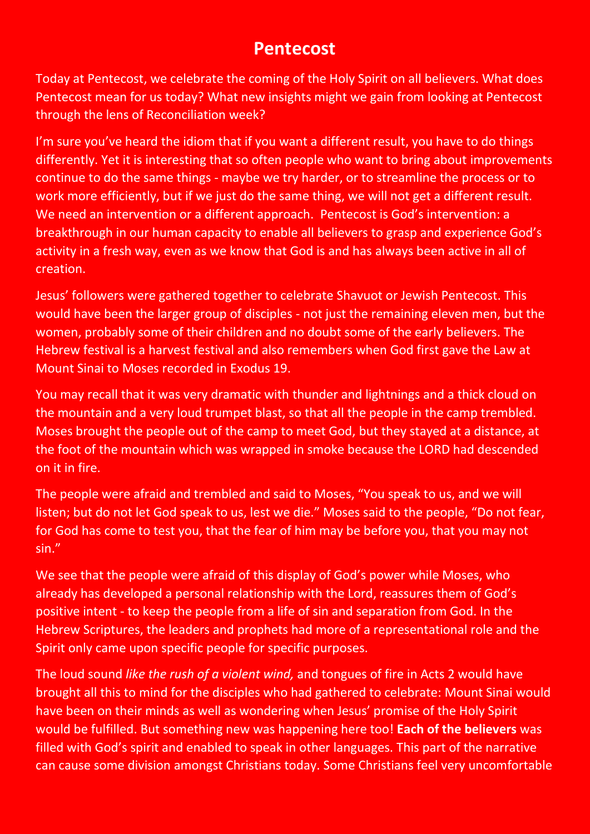## **Pentecost**

Today at Pentecost, we celebrate the coming of the Holy Spirit on all believers. What does Pentecost mean for us today? What new insights might we gain from looking at Pentecost through the lens of Reconciliation week?

I'm sure you've heard the idiom that if you want a different result, you have to do things differently. Yet it is interesting that so often people who want to bring about improvements continue to do the same things - maybe we try harder, or to streamline the process or to work more efficiently, but if we just do the same thing, we will not get a different result. We need an intervention or a different approach. Pentecost is God's intervention: a breakthrough in our human capacity to enable all believers to grasp and experience God's activity in a fresh way, even as we know that God is and has always been active in all of creation.

Jesus' followers were gathered together to celebrate Shavuot or Jewish Pentecost. This would have been the larger group of disciples - not just the remaining eleven men, but the women, probably some of their children and no doubt some of the early believers. The Hebrew festival is a harvest festival and also remembers when God first gave the Law at Mount Sinai to Moses recorded in Exodus 19.

You may recall that it was very dramatic with thunder and lightnings and a thick cloud on the mountain and a very loud trumpet blast, so that all the people in the camp trembled. Moses brought the people out of the camp to meet God, but they stayed at a distance, at the foot of the mountain which was wrapped in smoke because the LORD had descended on it in fire.

The people were afraid and trembled and said to Moses, "You speak to us, and we will listen; but do not let God speak to us, lest we die." Moses said to the people, "Do not fear, for God has come to test you, that the fear of him may be before you, that you may not sin."

We see that the people were afraid of this display of God's power while Moses, who already has developed a personal relationship with the Lord, reassures them of God's positive intent - to keep the people from a life of sin and separation from God. In the Hebrew Scriptures, the leaders and prophets had more of a representational role and the Spirit only came upon specific people for specific purposes.

The loud sound *like the rush of a violent wind,* and tongues of fire in Acts 2 would have brought all this to mind for the disciples who had gathered to celebrate: Mount Sinai would have been on their minds as well as wondering when Jesus' promise of the Holy Spirit would be fulfilled. But something new was happening here too! **Each of the believers** was filled with God's spirit and enabled to speak in other languages. This part of the narrative can cause some division amongst Christians today. Some Christians feel very uncomfortable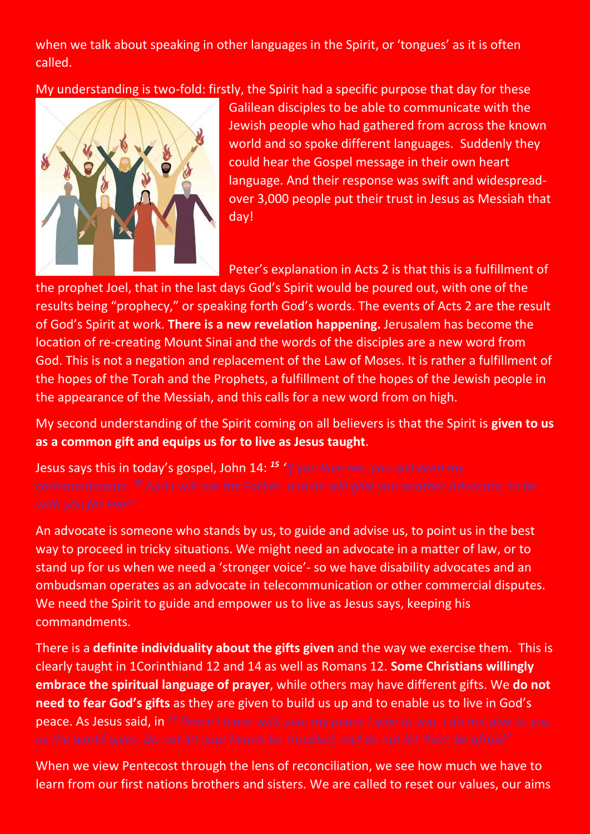when we talk about speaking in other languages in the Spirit, or 'tongues' as it is often called.

My understanding is two-fold: firstly, the Spirit had a specific purpose that day for these



Galilean disciples to be able to communicate with the Jewish people who had gathered from across the known world and so spoke different languages. Suddenly they could hear the Gospel message in their own heart language. And their response was swift and widespreadover 3,000 people put their trust in Jesus as Messiah that day!

Peter's explanation in Acts 2 is that this is a fulfillment of

the prophet Joel, that in the last days God's Spirit would be poured out, with one of the results being "prophecy," or speaking forth God's words. The events of Acts 2 are the result of God's Spirit at work. **There is a new revelation happening.** Jerusalem has become the location of re-creating Mount Sinai and the words of the disciples are a new word from God. This is not a negation and replacement of the Law of Moses. It is rather a fulfillment of the hopes of the Torah and the Prophets, a fulfillment of the hopes of the Jewish people in the appearance of the Messiah, and this calls for a new word from on high.

My second understanding of the Spirit coming on all believers is that the Spirit is **given to us as a common gift and equips us for to live as Jesus taught**.

Jesus says this in today's gospel, John 14: *<sup>15</sup> 'If you love me, you will keep my* 

An advocate is someone who stands by us, to guide and advise us, to point us in the best way to proceed in tricky situations. We might need an advocate in a matter of law, or to stand up for us when we need a 'stronger voice'- so we have disability advocates and an ombudsman operates as an advocate in telecommunication or other commercial disputes. We need the Spirit to guide and empower us to live as Jesus says, keeping his commandments.

There is a **definite individuality about the gifts given** and the way we exercise them. This is clearly taught in 1Corinthiand 12 and 14 as well as Romans 12. **Some Christians willingly embrace the spiritual language of prayer**, while others may have different gifts. We **do not need to fear God's gifts** as they are given to build us up and to enable us to live in God's peace. As Jesus said, in *<sup>27</sup> Peace I leave with you; my peace I give to you. I do not give to you* 

When we view Pentecost through the lens of reconciliation, we see how much we have to learn from our first nations brothers and sisters. We are called to reset our values, our aims